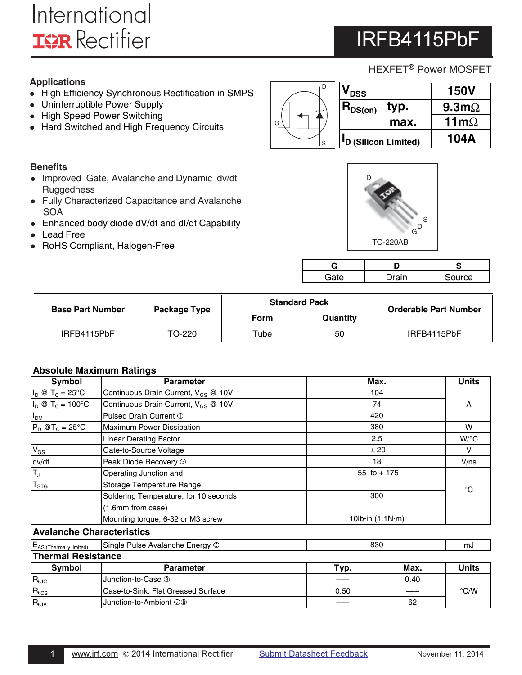# International **IOR** Rectifier

# IRFB4115PbF

## HEXFET<sup>®</sup> Power MOSFET

## **Applications**

- High Efficiency Synchronous Rectification in SMPS
- Uninterruptible Power Supply
- High Speed Power Switching
- Hard Switched and High Frequency Circuits

## **Benefits**

- Improved Gate, Avalanche and Dynamic dv/dt **Ruggedness**
- Fully Characterized Capacitance and Avalanche **SOA**
- Enhanced body diode dV/dt and dI/dt Capability
- Lead Free
- RoHS Compliant, Halogen-Free



| <b>DSS</b>                       | <b>150V</b>          |
|----------------------------------|----------------------|
| $R_{DS(on)}$<br>typ.             | $9.3 \text{m}\Omega$ |
| max.                             | 11 $m\Omega$         |
| <sup>I</sup> D (Silicon Limited) | <b>104A</b>          |



| Э  |       | æ.     |
|----|-------|--------|
| ٠. | Irain | Source |

| <b>Base Part Number</b> | Package Type | <b>Standard Pack</b> |          | <b>Orderable Part Number</b> |  |  |
|-------------------------|--------------|----------------------|----------|------------------------------|--|--|
|                         |              | <b>Form</b>          | Quantity |                              |  |  |
| IRFB4115PbF             | TO-220       | Tube                 | 50       | IRFB4115PbF                  |  |  |

### **Absolute Maximum Ratings**

| Symbol                           | <b>Parameter</b>                                | Max.                                    | <b>Units</b> |
|----------------------------------|-------------------------------------------------|-----------------------------------------|--------------|
| $I_D \otimes T_C = 25^{\circ}C$  | Continuous Drain Current, V <sub>GS</sub> @ 10V | 104                                     |              |
| $I_D @ T_C = 100°C$              | Continuous Drain Current, V <sub>GS</sub> @ 10V | 74                                      | A            |
| I <sub>DM</sub>                  | Pulsed Drain Current 1                          | 420                                     |              |
| $P_D$ @T <sub>C</sub> = 25°C     | Maximum Power Dissipation                       | 380                                     | W            |
|                                  | <b>Linear Derating Factor</b>                   | 2.5                                     | $W$ /°C      |
| $V_{GS}$                         | Gate-to-Source Voltage                          | ± 20                                    |              |
| dv/dt                            | Peak Diode Recovery 3                           | 18                                      | V/ns         |
| TJ                               | Operating Junction and                          | $-55$ to $+175$                         |              |
| $T_{STG}$                        | Storage Temperature Range                       |                                         | $^{\circ}$ C |
|                                  | Soldering Temperature, for 10 seconds           | 300                                     |              |
|                                  | (1.6mm from case)                               |                                         |              |
|                                  | Mounting torque, 6-32 or M3 screw               | 10 $\mathsf{b}$ in (1.1 $\mathsf{N}$ m) |              |
| <b>Avalanche Characteristics</b> |                                                 |                                         |              |
| $E_{AS}$ (Thermally limited)     | Single Pulse Avalanche Energy 2                 | 830                                     | mJ           |

| $E_{AS}$ (Thermally limited) | Single Pulse Avalanche Energy 2    | 830<br>mJ |      |               |
|------------------------------|------------------------------------|-----------|------|---------------|
| <b>Thermal Resistance</b>    |                                    |           |      |               |
| <b>Symbol</b>                | <b>Parameter</b>                   | Typ.      | Max. | <b>Units</b>  |
| $R_{\theta \text{JC}}$       | Uunction-to-Case <sup>®</sup>      |           | 0.40 |               |
| $R_{\theta CS}$              | Case-to-Sink, Flat Greased Surface | 0.50      |      | $\degree$ C/W |
| $R_{\theta JA}$              | Junction-to-Ambient 28             |           | 62   |               |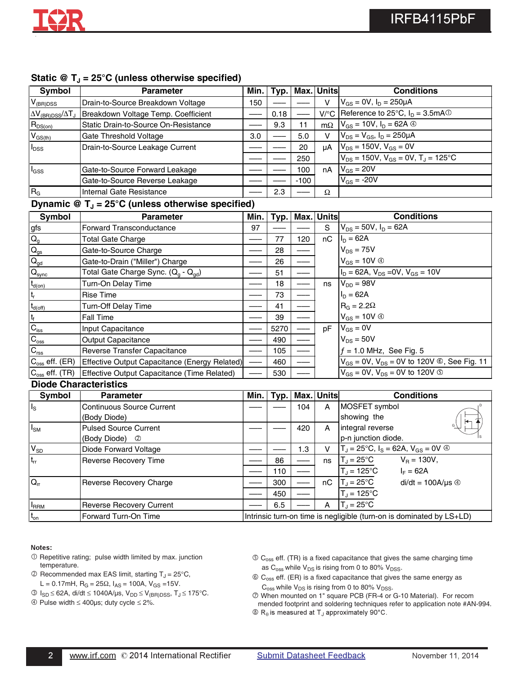

| Symbol                                    | <b>Parameter</b>                     | Min. I | Typ. |        | Max. Units | <b>Conditions</b>                                                             |
|-------------------------------------------|--------------------------------------|--------|------|--------|------------|-------------------------------------------------------------------------------|
| $V_{(BR)DSS}$                             | Drain-to-Source Breakdown Voltage    | 150    |      |        | v          | $V_{GS} = 0V$ , $I_D = 250 \mu A$                                             |
| $\Delta V_{\rm (BR)DSS}/\Delta T_{\rm J}$ | Breakdown Voltage Temp. Coefficient  |        | 0.18 |        |            | $V$ <sup>o</sup> C Reference to 25 <sup>o</sup> C, $I_D = 3.5mA$ <sup>①</sup> |
| $R_{DS(on)}$                              | Static Drain-to-Source On-Resistance |        | 9.3  | 11     |            | m $\Omega$   $V_{GS}$ = 10V, $I_D$ = 62A $\circledcirc$                       |
| $V_{GS(th)}$                              | Gate Threshold Voltage               | 3.0    |      | 5.0    | v          | $V_{DS} = V_{GS}$ , $I_D = 250 \mu A$                                         |
| $I_{\text{DSS}}$                          | Drain-to-Source Leakage Current      |        |      | 20     | μA         | $V_{DS}$ = 150V, $V_{GS}$ = 0V                                                |
|                                           |                                      |        |      | 250    |            | $V_{DS}$ = 150V, $V_{GS}$ = 0V, $T_J$ = 125°C                                 |
| $I_{GSS}$                                 | Gate-to-Source Forward Leakage       |        |      | 100    | nA         | $V_{GS}$ = 20V                                                                |
|                                           | Gate-to-Source Reverse Leakage       |        |      | $-100$ |            | $V_{GS}$ = -20V                                                               |
| R <sub>G</sub>                            | Internal Gate Resistance             |        | 2.3  |        | Ω          |                                                                               |

### Dynamic  $\mathcal{Q}$  T<sub>J</sub> = 25°C (unless otherwise specified)

| <b>Parameter</b>                            | Min. | Typ.                                          |     |    | <b>Conditions</b>                                            |
|---------------------------------------------|------|-----------------------------------------------|-----|----|--------------------------------------------------------------|
| Forward Transconductance                    | 97   |                                               |     | S  | $V_{DS} = 50V$ , $I_D = 62A$                                 |
| <b>Total Gate Charge</b>                    |      | 77                                            | 120 | nC | $I_D = 62A$                                                  |
| Gate-to-Source Charge                       |      | 28                                            |     |    | $V_{DS}$ = 75V                                               |
| Gate-to-Drain ("Miller") Charge             |      | 26                                            |     |    | $V_{GS} = 10V \circledcirc$                                  |
| Total Gate Charge Sync. $(Q_q - Q_{qd})$    |      | 51                                            |     |    | $I_D = 62A$ , $V_{DS} = 0V$ , $V_{GS} = 10V$                 |
| Turn-On Delay Time                          |      | 18                                            |     | ns | $V_{DD} = 98V$                                               |
| <b>Rise Time</b>                            |      | 73                                            |     |    | $I_D = 62A$                                                  |
| <b>Turn-Off Delay Time</b>                  |      | 41                                            |     |    | $RG = 2.2Omega$                                              |
| <b>Fall Time</b>                            |      | 39                                            |     |    | $V_{GS} = 10V \circledcirc$                                  |
| Input Capacitance                           |      | 5270                                          |     | pF | $V_{GS} = 0V$                                                |
| <b>Output Capacitance</b>                   |      | 490                                           |     |    | $V_{DS} = 50V$                                               |
| Reverse Transfer Capacitance                |      | 105                                           |     |    | $f = 1.0$ MHz, See Fig. 5                                    |
|                                             |      | 460                                           |     |    | $V_{GS} = 0V$ , $V_{DS} = 0V$ to 120V <b>©</b> , See Fig. 11 |
| Effective Output Capacitance (Time Related) |      | 530                                           |     |    | $V_{GS} = 0V$ , $V_{DS} = 0V$ to 120V $\circledcirc$         |
|                                             |      | Effective Output Capacitance (Energy Related) |     |    | Max. Units                                                   |

#### **Diode Characteristics**

| Symbol                  | <b>Parameter</b>                 | Min.                                                                 | Typ. |     | Max. Units | <b>Conditions</b>                                                |
|-------------------------|----------------------------------|----------------------------------------------------------------------|------|-----|------------|------------------------------------------------------------------|
| $\mathsf{I}_\mathsf{S}$ | <b>Continuous Source Current</b> |                                                                      |      | 104 | A          | MOSFET symbol                                                    |
|                         | (Body Diode)                     |                                                                      |      |     |            | showing the<br>ю                                                 |
| $I_{\text{SM}}$         | <b>Pulsed Source Current</b>     |                                                                      |      | 420 | A          | G<br>integral reverse                                            |
|                         | (Body Diode) 2                   |                                                                      |      |     |            | p-n junction diode.                                              |
| $V_{SD}$                | Diode Forward Voltage            |                                                                      |      | 1.3 | v          | $T_J = 25^{\circ}C$ , $I_S = 62A$ , $V_{GS} = 0V$ $\circledcirc$ |
| $t_{rr}$                | Reverse Recovery Time            |                                                                      | 86   |     | ns         | $T_{\rm J} = 25^{\circ}C$<br>$V_{\rm B} = 130V,$                 |
|                         |                                  |                                                                      | 110  |     |            | $T_{\rm J}$ = 125°C<br>$I_F = 62A$                               |
| $Q_{rr}$                | Reverse Recovery Charge          |                                                                      | 300  |     | nC         | $T_J = 25^{\circ}C$<br>$di/dt = 100A/\mu s \circledcirc$         |
|                         |                                  |                                                                      | 450  |     |            | $T_J = 125$ °C                                                   |
| <b>I</b> <sub>RRM</sub> | Reverse Recovery Current         |                                                                      | 6.5  |     | A          | $T_{\rm d}$ = 25°C                                               |
| $t_{on}$                | Forward Turn-On Time             | Intrinsic turn-on time is negligible (turn-on is dominated by LS+LD) |      |     |            |                                                                  |

#### Notes:

- $O$  Repetitive rating; pulse width limited by max. junction temperature.
- $\textcircled{2}$  Recommended max EAS limit, starting T<sub>J</sub> = 25°C, L = 0.17mH,  $R_G = 25\Omega$ ,  $I_{AS} = 100A$ ,  $V_{GS} = 15V$ .
- $\textcircled{3}$  I<sub>SD</sub> ≤ 62A, di/dt ≤ 1040A/μs, V<sub>DD</sub> ≤ V<sub>(BR)DSS</sub>, T<sub>J</sub> ≤ 175°C.
- Pulse width ≤ 400µs; duty cycle ≤ 2%.
- $\circled{C}_{\text{oss}}$  eff. (TR) is a fixed capacitance that gives the same charging time as  $C_{\text{oss}}$  while  $V_{DS}$  is rising from 0 to 80%  $V_{DSS}$ .
- $\circledR$  C<sub>oss</sub> eff. (ER) is a fixed capacitance that gives the same energy as  $C_{\rm oss}$  while  $V_{DS}$  is rising from 0 to 80%  $V_{DSS}$ .
- When mounted on 1" square PCB (FR-4 or G-10 Material). For recom mended footprint and soldering techniques refer to application note #AN-994.  $\circledR_\theta$  is measured at T<sub>J</sub> approximately 90°C.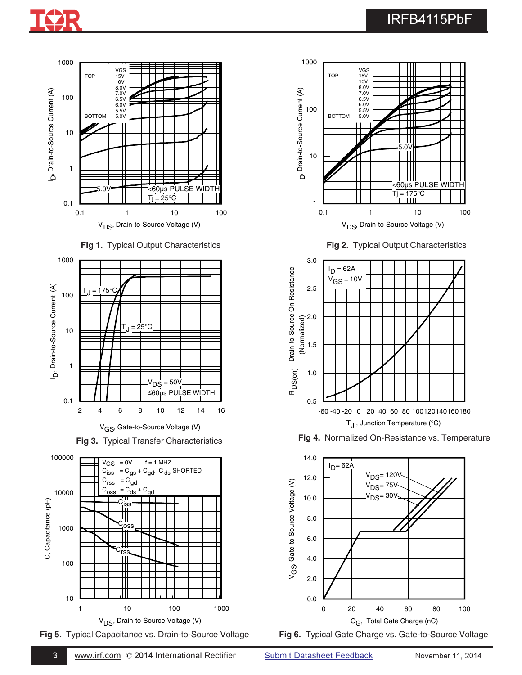







V<sub>GS</sub>, Gate-to-Source Voltage (V)









**Fig 2.** Typical Output Characteristics







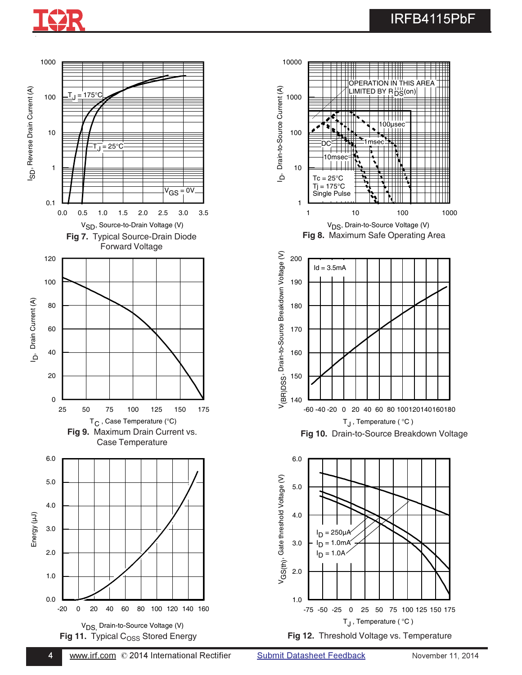# IRFB4115PbF



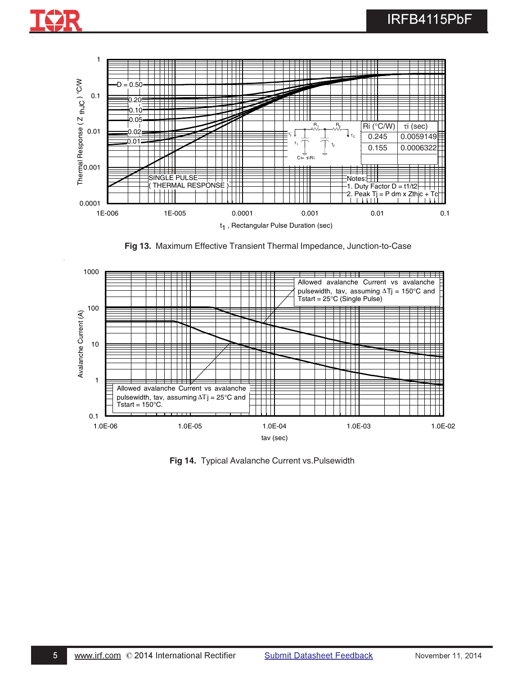

**Fig 13.** Maximum Effective Transient Thermal Impedance, Junction-to-Case



**Fig 14.** Typical Avalanche Current vs.Pulsewidth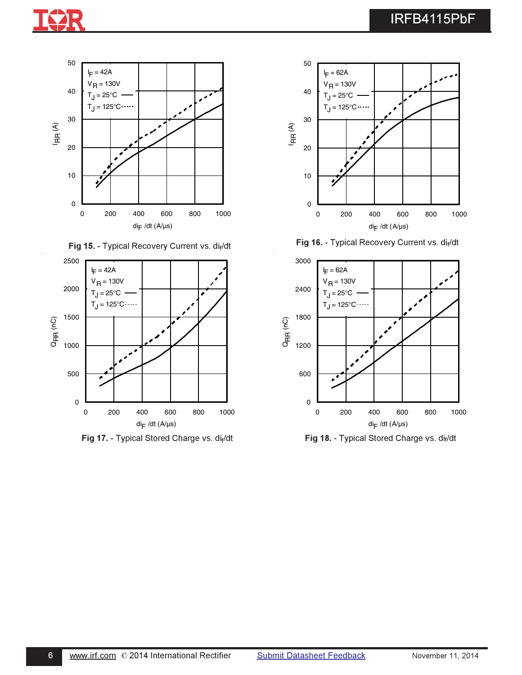





**Fig 17.** - Typical Stored Charge vs. di<sub>f</sub>/dt **Fig 18.** - Typical Stored Charge vs. dif



Fig 16. - Typical Recovery Current vs. dif/dt



. - Typical Stored Charge vs. di<sub>f</sub>/dt **Fig 18. - Typical Stored Charge vs. dif**/dt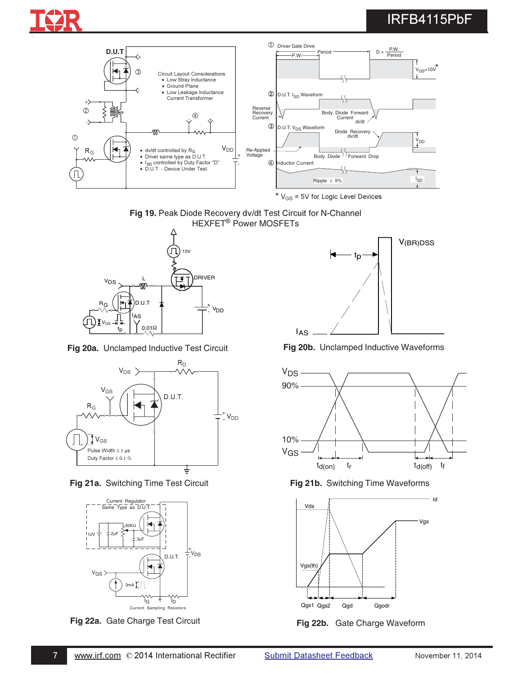# IRFB4115PbF



\*  $V_{GS}$  = 5V for Logic Level Devices







**Fig 21a.** Switching Time Test Circuit **Fig 21b.** Switching Time Waveforms



**Fig 22a.** Gate Charge Test Circuit **Fig 22b.** Gate Charge Waveform



**Fig 20a.** Unclamped Inductive Test Circuit **Fig 20b.** Unclamped Inductive Waveforms



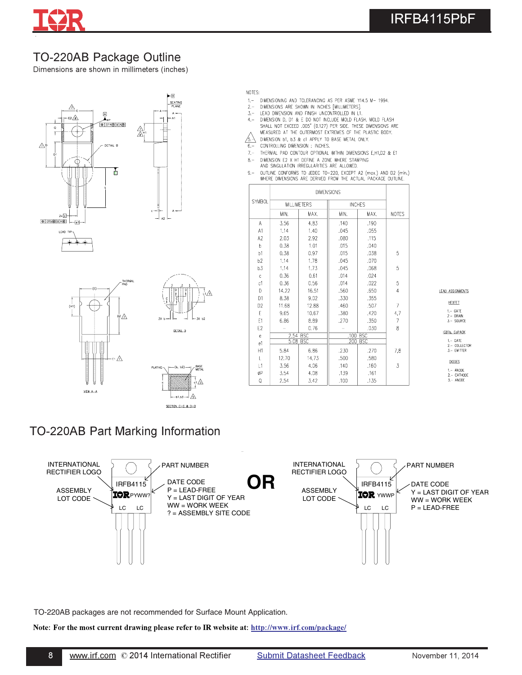

# TO-220AB Package Outline

Dimensions are shown in millimeters (inches)





#### NOTES:

- DIMENSIONING AND TOLERANCING AS PER ASME Y14.5 M- 1994.  $1 -$
- DIMENSIONING AND TOLERANCING AS FER ASME THE DIMENSIONS ARE SHOWN IN INCHES [MILLIMETERS]  $2 -$
- $3 4 -$
- DIMENSION D, D1 & E D0 NOT INCLUDE MOLD FLASH. MOLD FLASH SHALL NOT EXCEED .005" (0.127) PER SIDE. THESE DIMENSIONS ARE MEASURED AT THE OUTERMOST EXTREMES OF THE PLASTIC BODY.
- $\sqrt{5}$  DIMENSION b1, b3 & c1 APPLY TO BASE METAL ONLY.
- $6 -$ CONTROLLING DIMENSION : INCHES.
- $7, -$ THERMAL PAD CONTOUR OPTIONAL WITHIN DIMENSIONS E, H1, D2 & E1
- DIMENSION E2 X H1 DEFINE A ZONE WHERE STAMPING<br>AND SINGULATION IRREGULARITIES ARE ALLOWED.  $8 -$
- 
- OUTLINE CONFORMS TO JEDEC TO-220, EXCEPT A2 (max.) AND D2 (min.)<br>WHERE DIMENSIONS ARE DERIVED FROM THE ACTUAL PACKAGE OUTLINE.  $9 -$

| <b>SYMBOL</b>  | <b>MILLIMETERS</b> |            | <b>INCHES</b> |            |                |
|----------------|--------------------|------------|---------------|------------|----------------|
|                | MIN.               | MAX.       | MIN.          | MAX.       | <b>NOTES</b>   |
| A              | 3,56               | 4,83       | ,140          | .190       |                |
| A1             | 1,14               | 1.40       | .045          | .055       |                |
| A2             | 2.03               | 2.92       | .080          | .115       |                |
| b              | 0.38               | 1.01       | .015          | .040       |                |
| b1             | 0.38               | 0.97       | .015          | .038       | 5              |
| b <sub>2</sub> | 1.14               | 1,78       | .045          | .070       |                |
| b3             | 1.14               | 1,73       | .045          | .068       | 5              |
| $\mathsf{C}$   | 0.36               | 0.61       | .014          | .024       |                |
| c1             | 0.36               | 0.56       | .014          | .022       | 5              |
| D              | 14.22              | 16.51      | .560          | .650       | $\overline{4}$ |
| D1             | 8,38               | 9.02       | .330          | .355       |                |
| D <sub>2</sub> | 11.68              | 12.88      | .460          | .507       | 7              |
| F              | 9.65               | 10.67      | .380          | .420       | 4,7            |
| E <sub>1</sub> | 6.86               | 8.89       | .270          | .350       | 7              |
| E <sub>2</sub> |                    | 0.76       |               | .030       | 8              |
| $\rm e$        | 2.54               | <b>BSC</b> | ,100          | <b>BSC</b> |                |
| e1             | 5.08               | <b>BSC</b> | .200          | <b>BSC</b> |                |
| H1             | 5.84               | 6.86       | .230          | .270       | 7,8            |
| $\mathsf{L}$   | 12.70              | 14.73      | .500          | .580       |                |
| L1             | 3.56               | 4.06       | .140          | .160       | 3              |
| øΡ             | 3.54               | 4.08       | .139          | .161       |                |
| Q              | 2.54               | 3.42       | .100          | .135       |                |

LEAD ASSIGNMENTS

**HEXFET** 

1.- GATE<br>2.- DRAIN<br>3.- SOURCE

IGBTs, CoPACK

1. – GATE<br>2. – COLLECTOR<br>3. – EMITTER

DIODES

1.- ANODE<br>2.- CATHODE<br>3.- ANODE

## TO-220AB Part Marking Information



TO-220AB packages are not recommended for Surface Mount Application.

Note: For the most current drawing please refer to IR website at: <u>http://www.irf.com/package/</u>